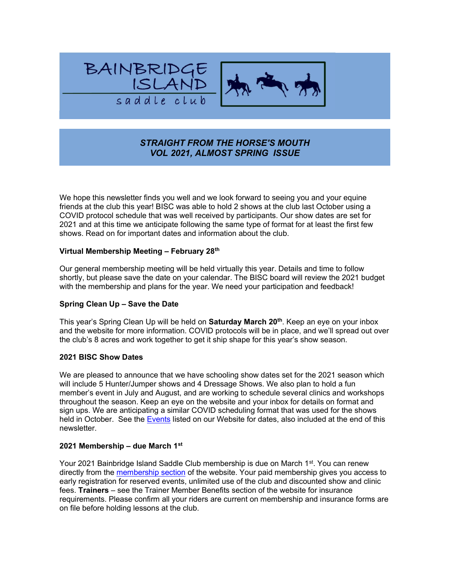



# STRAIGHT FROM THE HORSE'S MOUTH VOL 2021, ALMOST SPRING ISSUE

We hope this newsletter finds you well and we look forward to seeing you and your equine friends at the club this year! BISC was able to hold 2 shows at the club last October using a COVID protocol schedule that was well received by participants. Our show dates are set for 2021 and at this time we anticipate following the same type of format for at least the first few shows. Read on for important dates and information about the club.

### Virtual Membership Meeting – February 28th

Our general membership meeting will be held virtually this year. Details and time to follow shortly, but please save the date on your calendar. The BISC board will review the 2021 budget with the membership and plans for the year. We need your participation and feedback!

#### Spring Clean Up – Save the Date

This year's Spring Clean Up will be held on Saturday March 20<sup>th</sup>. Keep an eye on your inbox and the website for more information. COVID protocols will be in place, and we'll spread out over the club's 8 acres and work together to get it ship shape for this year's show season.

#### 2021 BISC Show Dates

We are pleased to announce that we have schooling show dates set for the 2021 season which will include 5 Hunter/Jumper shows and 4 Dressage Shows. We also plan to hold a fun member's event in July and August, and are working to schedule several clinics and workshops throughout the season. Keep an eye on the website and your inbox for details on format and sign ups. We are anticipating a similar COVID scheduling format that was used for the shows held in October. See the Events listed on our Website for dates, also included at the end of this newsletter.

#### 2021 Membership – due March 1st

Your 2021 Bainbridge Island Saddle Club membership is due on March 1<sup>st</sup>. You can renew directly from the membership section of the website. Your paid membership gives you access to early registration for reserved events, unlimited use of the club and discounted show and clinic fees. Trainers – see the Trainer Member Benefits section of the website for insurance requirements. Please confirm all your riders are current on membership and insurance forms are on file before holding lessons at the club.